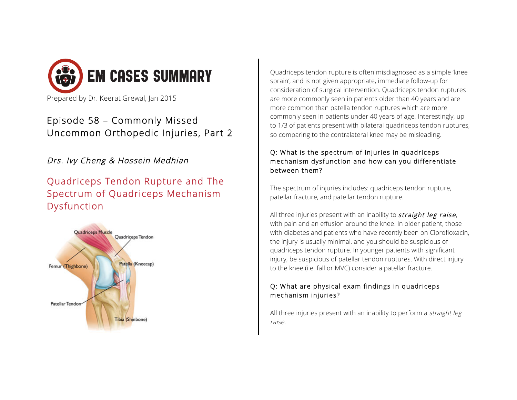

# Episode 58 – Commonly Missed Uncommon Orthopedic Injuries, Part 2

## Drs. Ivy Cheng & Hossein Medhian

Quadriceps Tendon Rupture and The Spectrum of Quadriceps Mechanism Dysfunction



Quadriceps tendon rupture is often misdiagnosed as a simple 'knee sprain', and is not given appropriate, immediate follow-up for consideration of surgical intervention. Quadriceps tendon ruptures are more commonly seen in patients older than 40 years and are more common than patella tendon ruptures which are more commonly seen in patients under 40 years of age. Interestingly, up to 1/3 of patients present with bilateral quadriceps tendon ruptures, so comparing to the contralateral knee may be misleading.

### Q: What is the spectrum of injuries in quadriceps mechanism dysfunction and how can you differentiate between them?

The spectrum of injuries includes: quadriceps tendon rupture, patellar fracture, and patellar tendon rupture.

All three injuries present with an inability to *straight leg raise*, with pain and an effusion around the knee. In older patient, those with diabetes and patients who have recently been on Ciprofloxacin, the injury is usually minimal, and you should be suspicious of quadriceps tendon rupture. In younger patients with significant injury, be suspicious of patellar tendon ruptures. With direct injury to the knee (i.e. fall or MVC) consider a patellar fracture.

### Q: What are physical exam findings in quadriceps mechanism injuries?

All three injuries present with an inability to perform a *straight leg* raise.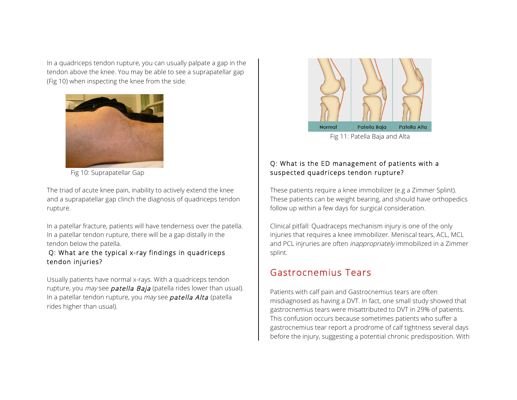In a quadriceps tendon rupture, you can usually palpate a gap in the tendon above the knee. You may be able to see a suprapatellar gap (Fig 10) when inspecting the knee from the side.



Fig 10: Suprapatellar Gap

The triad of acute knee pain, inability to actively extend the knee and a suprapatellar gap clinch the diagnosis of quadriceps tendon rupture.

In a patellar fracture, patients will have tenderness over the patella. In a patellar tendon rupture, there will be a gap distally in the tendon below the patella.

### Q: What are the typical x-ray findings in quadriceps tendon injuries?

Usually patients have normal x-rays. With a quadriceps tendon rupture, you *may* see *patella Baja* (patella rides lower than usual). In a patellar tendon rupture, you may see *patella Alta* (patella rides higher than usual).



### Q: What is the ED management of patients with a suspected quadriceps tendon rupture?

These patients require a knee immobilizer (e.g a Zimmer Splint). These patients can be weight bearing, and should have orthopedics follow up within a few days for surgical consideration.

Clinical pitfall: Quadraceps mechanism injury is one of the only injuries that requires a knee immobilizer. Meniscal tears, ACL, MCL and PCL injruries are often *inappropriately* immobilized in a Zimmer splint.

## Gastrocnemius Tears

Patients with calf pain and Gastrocnemius tears are often misdiagnosed as having a DVT. In fact, one small study showed that gastrocnemius tears were misattributed to DVT in 29% of patients. This confusion occurs because sometimes patients who suffer a gastrocnemius tear report a prodrome of calf tightness several days before the injury, suggesting a potential chronic predisposition. With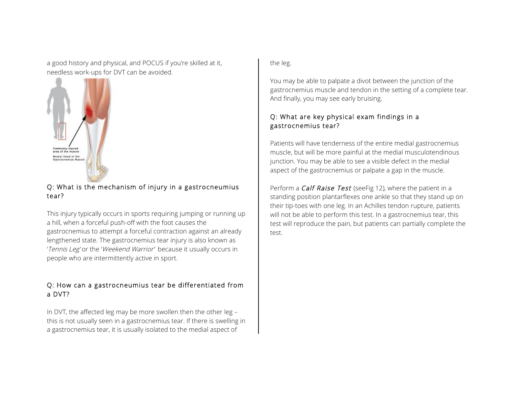a good history and physical, and POCUS if you're skilled at it, needless work-ups for DVT can be avoided.



Q: What is the mechanism of injury in a gastrocneumius tear?

This injury typically occurs in sports requiring jumping or running up a hill, when a forceful push-off with the foot causes the gastrocnemius to attempt a forceful contraction against an already lengthened state. The gastrocnemius tear injury is also known as 'Tennis Leg' or the 'Weekend Warrior' because it usually occurs in people who are intermittently active in sport.

### Q: How can a gastrocneumius tear be differentiated from a DVT?

In DVT, the affected leg may be more swollen then the other leg – this is not usually seen in a gastrocnemius tear. If there is swelling in a gastrocnemius tear, it is usually isolated to the medial aspect of

the leg.

You may be able to palpate a divot between the junction of the gastrocnemius muscle and tendon in the setting of a complete tear. And finally, you may see early bruising.

## Q: What are key physical exam findings in a gastrocnemius tear?

Patients will have tenderness of the entire medial gastrocnemius muscle, but will be more painful at the medial musculotendinous junction. You may be able to see a visible defect in the medial aspect of the gastrocnemius or palpate a gap in the muscle.

Perform a *Calf Raise Test* (see Fig 12), where the patient in a standing position plantarflexes one ankle so that they stand up on their tip-toes with one leg. In an Achilles tendon rupture, patients will not be able to perform this test. In a gastrocnemius tear, this test will reproduce the pain, but patients can partially complete the test.